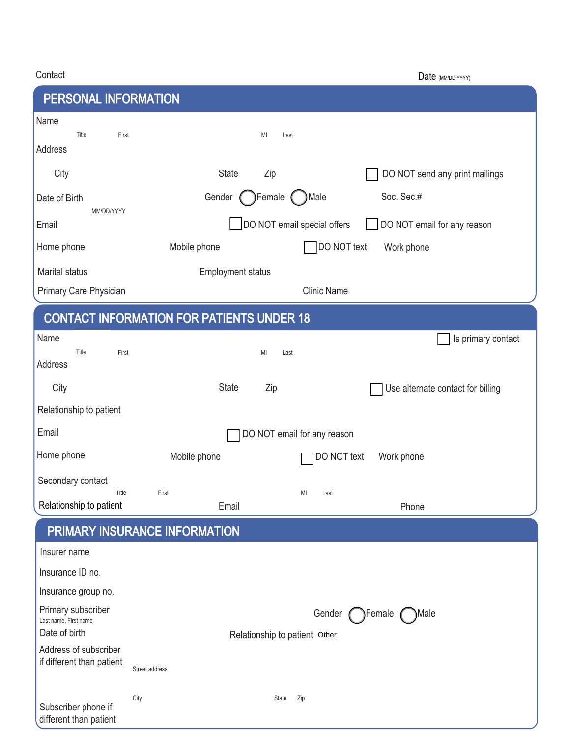| Contact                                          | Date (MM/DD/YYYY)                                          |  |
|--------------------------------------------------|------------------------------------------------------------|--|
| PERSONAL INFORMATION                             |                                                            |  |
| Name<br>Title<br>First<br>Address                | MI<br>Last                                                 |  |
| City                                             | <b>State</b><br>Zip<br>DO NOT send any print mailings      |  |
| Date of Birth                                    | Soc. Sec.#<br>Female<br>Gender<br>)Male                    |  |
| MM/DD/YYYY<br>Email                              | DO NOT email special offers<br>DO NOT email for any reason |  |
| Home phone                                       | DO NOT text<br>Mobile phone<br>Work phone                  |  |
| <b>Marital status</b>                            | <b>Employment status</b>                                   |  |
| Primary Care Physician                           | <b>Clinic Name</b>                                         |  |
| <b>CONTACT INFORMATION FOR PATIENTS UNDER 18</b> |                                                            |  |
| Name<br>Title<br>First<br>Address                | Is primary contact<br>MI<br>Last                           |  |
| City                                             | <b>State</b><br>Zip<br>Use alternate contact for billing   |  |
| Relationship to patient                          |                                                            |  |
| Email                                            | DO NOT email for any reason                                |  |
| Home phone                                       | DO NOT text<br>Mobile phone<br>Work phone                  |  |
| Secondary contact<br>Title                       | First<br>MI<br>Last                                        |  |
| Relationship to patient                          | Email<br>Phone                                             |  |
|                                                  | PRIMARY INSURANCE INFORMATION                              |  |
| Insurer name                                     |                                                            |  |
| Insurance ID no.                                 |                                                            |  |
| Insurance group no.                              |                                                            |  |
| Primary subscriber<br>Last name, First name      | Gender<br>Female<br>)Male                                  |  |
| Date of birth<br>Address of subscriber           | Relationship to patient Other                              |  |
| if different than patient                        | Street address                                             |  |
|                                                  | City<br>State<br>Zip                                       |  |
| Subscriber phone if<br>different than patient    |                                                            |  |